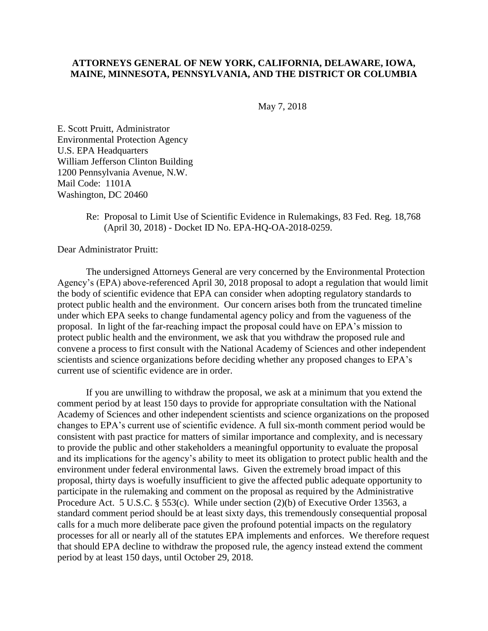## **ATTORNEYS GENERAL OF NEW YORK, CALIFORNIA, DELAWARE, IOWA, MAINE, MINNESOTA, PENNSYLVANIA, AND THE DISTRICT OR COLUMBIA**

May 7, 2018

E. Scott Pruitt, Administrator Environmental Protection Agency U.S. EPA Headquarters William Jefferson Clinton Building 1200 Pennsylvania Avenue, N.W. Mail Code: 1101A Washington, DC 20460

> Re: Proposal to Limit Use of Scientific Evidence in Rulemakings, 83 Fed. Reg. 18,768 (April 30, 2018) - Docket ID No. EPA-HQ-OA-2018-0259.

Dear Administrator Pruitt:

The undersigned Attorneys General are very concerned by the Environmental Protection Agency's (EPA) above-referenced April 30, 2018 proposal to adopt a regulation that would limit the body of scientific evidence that EPA can consider when adopting regulatory standards to protect public health and the environment. Our concern arises both from the truncated timeline under which EPA seeks to change fundamental agency policy and from the vagueness of the proposal. In light of the far-reaching impact the proposal could have on EPA's mission to protect public health and the environment, we ask that you withdraw the proposed rule and convene a process to first consult with the National Academy of Sciences and other independent scientists and science organizations before deciding whether any proposed changes to EPA's current use of scientific evidence are in order.

If you are unwilling to withdraw the proposal, we ask at a minimum that you extend the comment period by at least 150 days to provide for appropriate consultation with the National Academy of Sciences and other independent scientists and science organizations on the proposed changes to EPA's current use of scientific evidence. A full six-month comment period would be consistent with past practice for matters of similar importance and complexity, and is necessary to provide the public and other stakeholders a meaningful opportunity to evaluate the proposal and its implications for the agency's ability to meet its obligation to protect public health and the environment under federal environmental laws. Given the extremely broad impact of this proposal, thirty days is woefully insufficient to give the affected public adequate opportunity to participate in the rulemaking and comment on the proposal as required by the Administrative Procedure Act. 5 U.S.C. § 553(c). While under section (2)(b) of Executive Order 13563, a standard comment period should be at least sixty days, this tremendously consequential proposal calls for a much more deliberate pace given the profound potential impacts on the regulatory processes for all or nearly all of the statutes EPA implements and enforces. We therefore request that should EPA decline to withdraw the proposed rule, the agency instead extend the comment period by at least 150 days, until October 29, 2018.